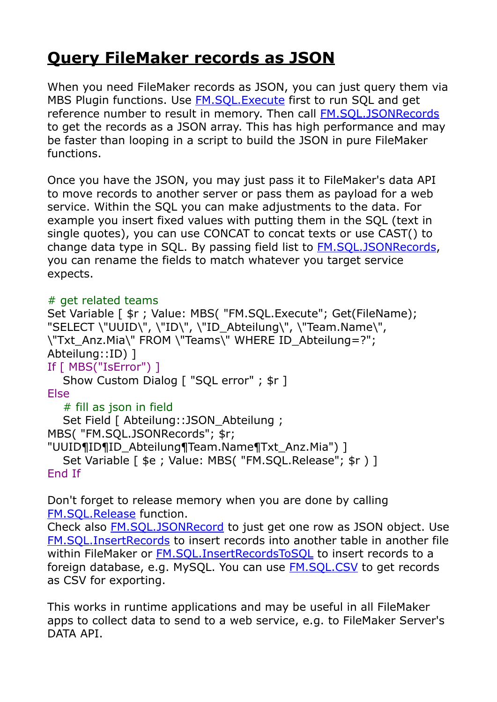## **[Query FileMaker records as JSON](https://www.mbs-plugins.com/archive/2020-04-03/Query_FileMaker_records_as_JSO/monkeybreadsoftware_blog_filemaker)**

When you need FileMaker records as JSON, you can just query them via MBS Plugin functions. Use **FM.SQL.Execute** first to run SQL and get reference number to result in memory. Then call [FM.SQL.JSONRecords](https://www.mbsplugins.eu/FMSQLJSONRecords.shtml) to get the records as a JSON array. This has high performance and may be faster than looping in a script to build the JSON in pure FileMaker functions.

Once you have the JSON, you may just pass it to FileMaker's data API to move records to another server or pass them as payload for a web service. Within the SQL you can make adjustments to the data. For example you insert fixed values with putting them in the SQL (text in single quotes), you can use CONCAT to concat texts or use CAST() to change data type in SQL. By passing field list to [FM.SQL.JSONRecords,](https://www.mbsplugins.eu/FMSQLJSONRecords.shtml) you can rename the fields to match whatever you target service expects.

## # get related teams

```
Set Variable [ \frac{1}{2}r ; Value: MBS( "FM.SQL.Execute"; Get(FileName);
"SELECT \"UUID\", \"ID\", \"ID_Abteilung\", \"Team.Name\", 
\"Txt_Anz.Mia\" FROM \"Teams\" WHERE ID_Abteilung=?"; 
Abteilung::ID) ] 
If [ MBS("IsError") ] 
  Show Custom Dialog [ "SQL error" ; $r ]
Else 
   # fill as json in field
  Set Field [ Abteilung:: JSON Abteilung ;
MBS( "FM.SQL.JSONRecords"; $r; 
"UUID¶ID¶ID_Abteilung¶Team.Name¶Txt_Anz.Mia") ] 
  Set Variable [ $e ; Value: MBS( "FM.SOL.Release"; $r ) ]
End If
```
Don't forget to release memory when you are done by calling [FM.SQL.Release](https://www.mbsplugins.eu/FMSQLRelease.shtml) function.

Check also [FM.SQL.JSONRecord](https://www.mbsplugins.eu/FMSQLJSONRecord.shtml) to just get one row as JSON object. Use [FM.SQL.InsertRecords](https://www.mbsplugins.eu/FMSQLInsertRecords.shtml) to insert records into another table in another file within FileMaker or FM.SOL.InsertRecordsToSOL to insert records to a foreign database, e.g. MySQL. You can use [FM.SQL.CSV](https://www.mbsplugins.eu/FMSQLCSV.shtml) to get records as CSV for exporting.

This works in runtime applications and may be useful in all FileMaker apps to collect data to send to a web service, e.g. to FileMaker Server's DATA API.